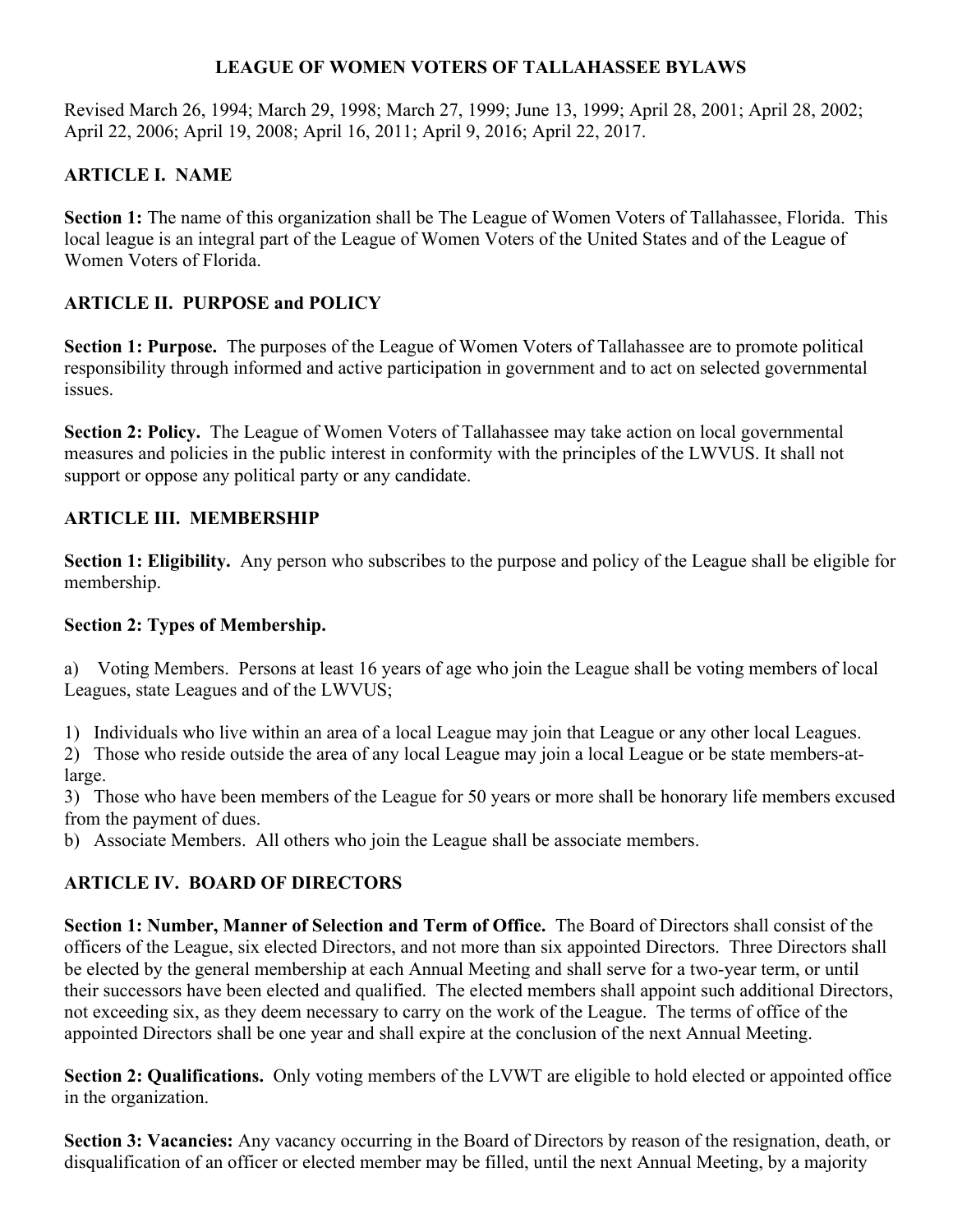### **LEAGUE OF WOMEN VOTERS OF TALLAHASSEE BYLAWS**

Revised March 26, 1994; March 29, 1998; March 27, 1999; June 13, 1999; April 28, 2001; April 28, 2002; April 22, 2006; April 19, 2008; April 16, 2011; April 9, 2016; April 22, 2017.

# **ARTICLE I. NAME**

**Section 1:** The name of this organization shall be The League of Women Voters of Tallahassee, Florida. This local league is an integral part of the League of Women Voters of the United States and of the League of Women Voters of Florida.

# **ARTICLE II. PURPOSE and POLICY**

**Section 1: Purpose.** The purposes of the League of Women Voters of Tallahassee are to promote political responsibility through informed and active participation in government and to act on selected governmental issues.

**Section 2: Policy.** The League of Women Voters of Tallahassee may take action on local governmental measures and policies in the public interest in conformity with the principles of the LWVUS. It shall not support or oppose any political party or any candidate.

# **ARTICLE III. MEMBERSHIP**

**Section 1: Eligibility.** Any person who subscribes to the purpose and policy of the League shall be eligible for membership.

### **Section 2: Types of Membership.**

a) Voting Members. Persons at least 16 years of age who join the League shall be voting members of local Leagues, state Leagues and of the LWVUS;

1) Individuals who live within an area of a local League may join that League or any other local Leagues.

2) Those who reside outside the area of any local League may join a local League or be state members-atlarge.

3) Those who have been members of the League for 50 years or more shall be honorary life members excused from the payment of dues.

b) Associate Members. All others who join the League shall be associate members.

# **ARTICLE IV. BOARD OF DIRECTORS**

**Section 1: Number, Manner of Selection and Term of Office.** The Board of Directors shall consist of the officers of the League, six elected Directors, and not more than six appointed Directors. Three Directors shall be elected by the general membership at each Annual Meeting and shall serve for a two-year term, or until their successors have been elected and qualified. The elected members shall appoint such additional Directors, not exceeding six, as they deem necessary to carry on the work of the League. The terms of office of the appointed Directors shall be one year and shall expire at the conclusion of the next Annual Meeting.

**Section 2: Qualifications.** Only voting members of the LVWT are eligible to hold elected or appointed office in the organization.

**Section 3: Vacancies:** Any vacancy occurring in the Board of Directors by reason of the resignation, death, or disqualification of an officer or elected member may be filled, until the next Annual Meeting, by a majority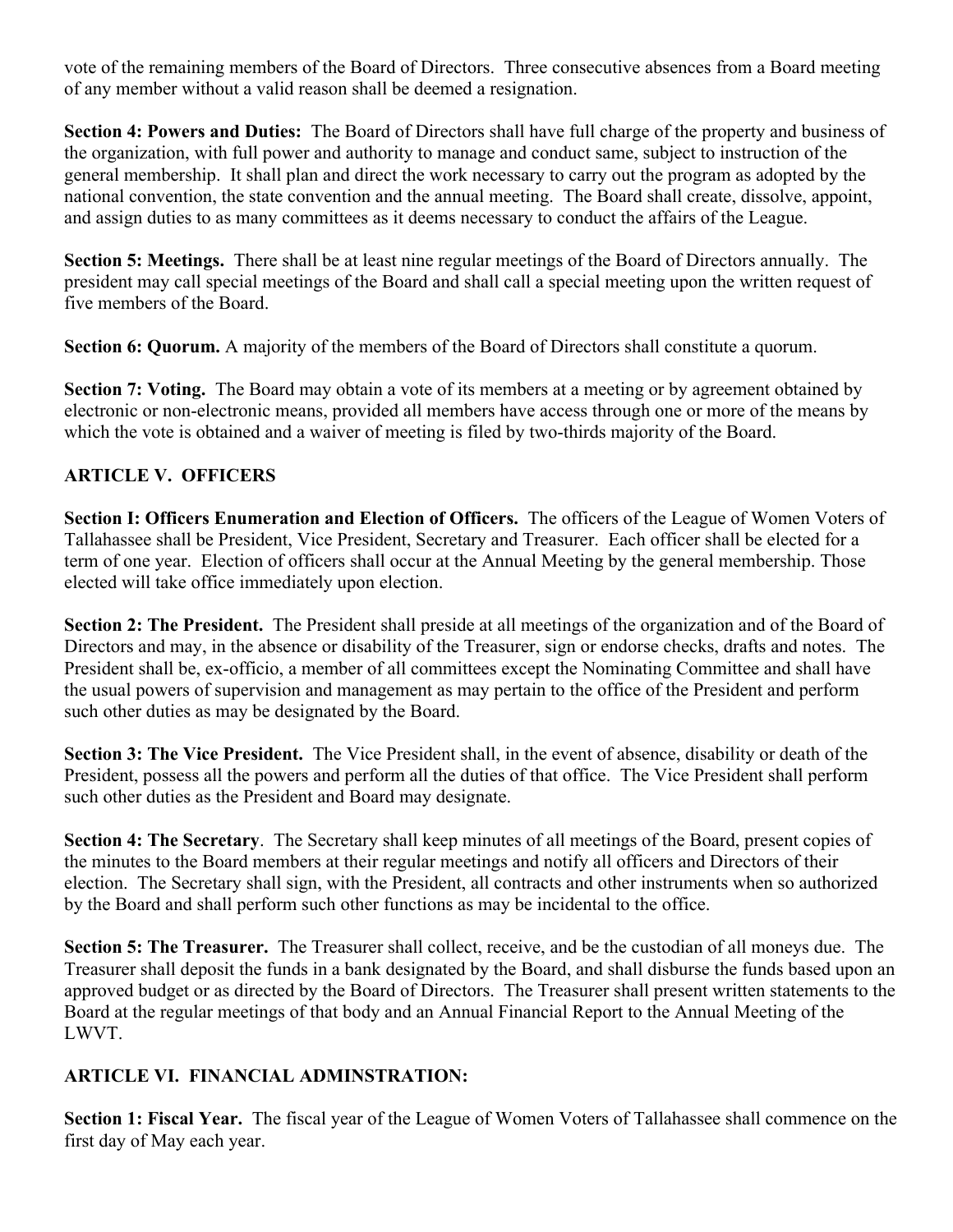vote of the remaining members of the Board of Directors. Three consecutive absences from a Board meeting of any member without a valid reason shall be deemed a resignation.

**Section 4: Powers and Duties:** The Board of Directors shall have full charge of the property and business of the organization, with full power and authority to manage and conduct same, subject to instruction of the general membership. It shall plan and direct the work necessary to carry out the program as adopted by the national convention, the state convention and the annual meeting. The Board shall create, dissolve, appoint, and assign duties to as many committees as it deems necessary to conduct the affairs of the League.

**Section 5: Meetings.** There shall be at least nine regular meetings of the Board of Directors annually. The president may call special meetings of the Board and shall call a special meeting upon the written request of five members of the Board.

**Section 6: Quorum.** A majority of the members of the Board of Directors shall constitute a quorum.

**Section 7: Voting.** The Board may obtain a vote of its members at a meeting or by agreement obtained by electronic or non-electronic means, provided all members have access through one or more of the means by which the vote is obtained and a waiver of meeting is filed by two-thirds majority of the Board.

# **ARTICLE V. OFFICERS**

**Section I: Officers Enumeration and Election of Officers.** The officers of the League of Women Voters of Tallahassee shall be President, Vice President, Secretary and Treasurer. Each officer shall be elected for a term of one year. Election of officers shall occur at the Annual Meeting by the general membership. Those elected will take office immediately upon election.

**Section 2: The President.** The President shall preside at all meetings of the organization and of the Board of Directors and may, in the absence or disability of the Treasurer, sign or endorse checks, drafts and notes. The President shall be, ex-officio, a member of all committees except the Nominating Committee and shall have the usual powers of supervision and management as may pertain to the office of the President and perform such other duties as may be designated by the Board.

**Section 3: The Vice President.** The Vice President shall, in the event of absence, disability or death of the President, possess all the powers and perform all the duties of that office. The Vice President shall perform such other duties as the President and Board may designate.

**Section 4: The Secretary**. The Secretary shall keep minutes of all meetings of the Board, present copies of the minutes to the Board members at their regular meetings and notify all officers and Directors of their election. The Secretary shall sign, with the President, all contracts and other instruments when so authorized by the Board and shall perform such other functions as may be incidental to the office.

**Section 5: The Treasurer.** The Treasurer shall collect, receive, and be the custodian of all moneys due. The Treasurer shall deposit the funds in a bank designated by the Board, and shall disburse the funds based upon an approved budget or as directed by the Board of Directors. The Treasurer shall present written statements to the Board at the regular meetings of that body and an Annual Financial Report to the Annual Meeting of the LWVT.

### **ARTICLE VI. FINANCIAL ADMINSTRATION:**

**Section 1: Fiscal Year.** The fiscal year of the League of Women Voters of Tallahassee shall commence on the first day of May each year.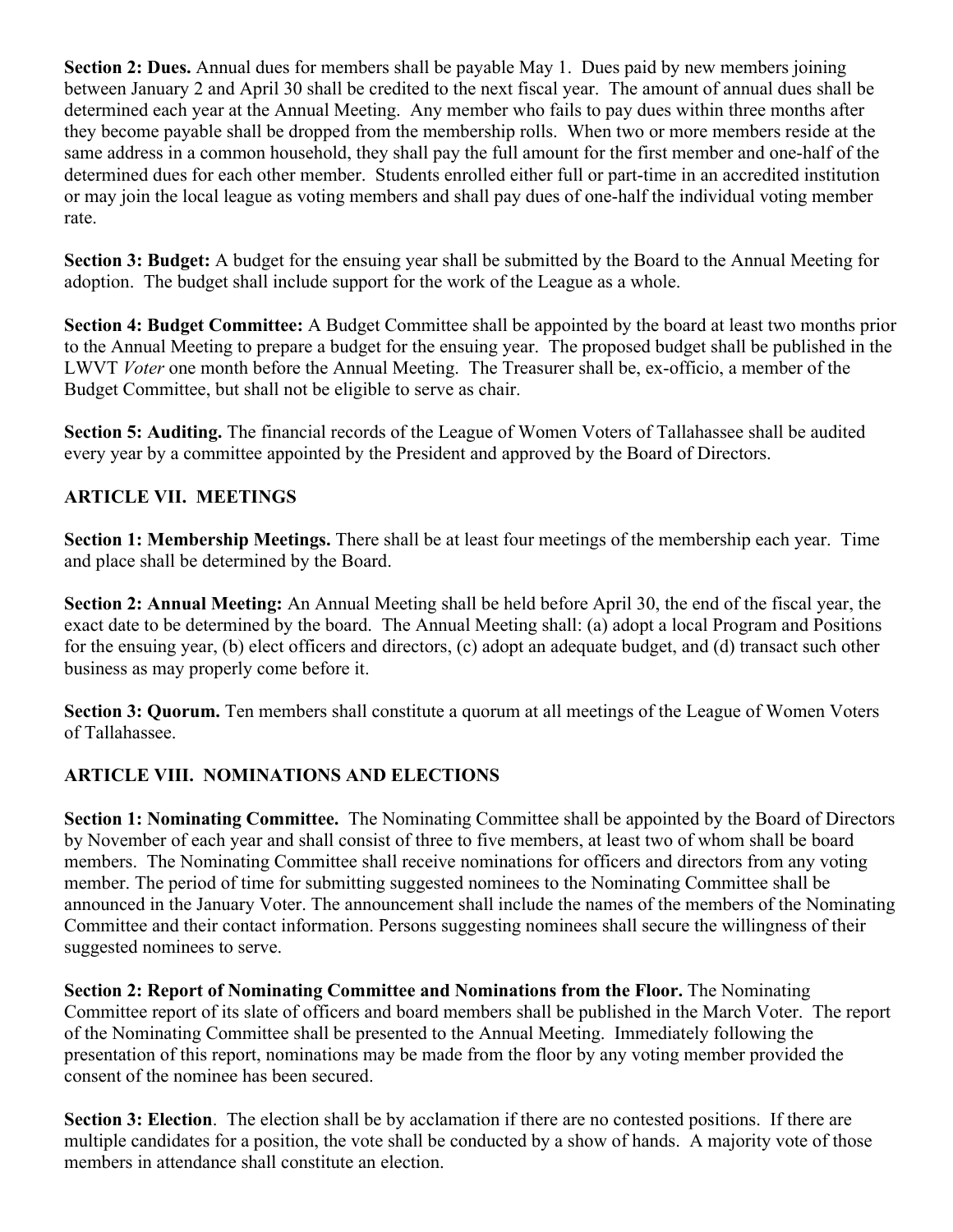**Section 2: Dues.** Annual dues for members shall be payable May 1. Dues paid by new members joining between January 2 and April 30 shall be credited to the next fiscal year. The amount of annual dues shall be determined each year at the Annual Meeting. Any member who fails to pay dues within three months after they become payable shall be dropped from the membership rolls. When two or more members reside at the same address in a common household, they shall pay the full amount for the first member and one-half of the determined dues for each other member. Students enrolled either full or part-time in an accredited institution or may join the local league as voting members and shall pay dues of one-half the individual voting member rate.

**Section 3: Budget:** A budget for the ensuing year shall be submitted by the Board to the Annual Meeting for adoption. The budget shall include support for the work of the League as a whole.

**Section 4: Budget Committee:** A Budget Committee shall be appointed by the board at least two months prior to the Annual Meeting to prepare a budget for the ensuing year. The proposed budget shall be published in the LWVT *Voter* one month before the Annual Meeting. The Treasurer shall be, ex-officio, a member of the Budget Committee, but shall not be eligible to serve as chair.

**Section 5: Auditing.** The financial records of the League of Women Voters of Tallahassee shall be audited every year by a committee appointed by the President and approved by the Board of Directors.

### **ARTICLE VII. MEETINGS**

**Section 1: Membership Meetings.** There shall be at least four meetings of the membership each year. Time and place shall be determined by the Board.

**Section 2: Annual Meeting:** An Annual Meeting shall be held before April 30, the end of the fiscal year, the exact date to be determined by the board. The Annual Meeting shall: (a) adopt a local Program and Positions for the ensuing year, (b) elect officers and directors, (c) adopt an adequate budget, and (d) transact such other business as may properly come before it.

**Section 3: Quorum.** Ten members shall constitute a quorum at all meetings of the League of Women Voters of Tallahassee.

#### **ARTICLE VIII. NOMINATIONS AND ELECTIONS**

**Section 1: Nominating Committee.** The Nominating Committee shall be appointed by the Board of Directors by November of each year and shall consist of three to five members, at least two of whom shall be board members. The Nominating Committee shall receive nominations for officers and directors from any voting member. The period of time for submitting suggested nominees to the Nominating Committee shall be announced in the January Voter. The announcement shall include the names of the members of the Nominating Committee and their contact information. Persons suggesting nominees shall secure the willingness of their suggested nominees to serve.

**Section 2: Report of Nominating Committee and Nominations from the Floor.** The Nominating Committee report of its slate of officers and board members shall be published in the March Voter. The report of the Nominating Committee shall be presented to the Annual Meeting. Immediately following the presentation of this report, nominations may be made from the floor by any voting member provided the consent of the nominee has been secured.

**Section 3: Election**. The election shall be by acclamation if there are no contested positions. If there are multiple candidates for a position, the vote shall be conducted by a show of hands. A majority vote of those members in attendance shall constitute an election.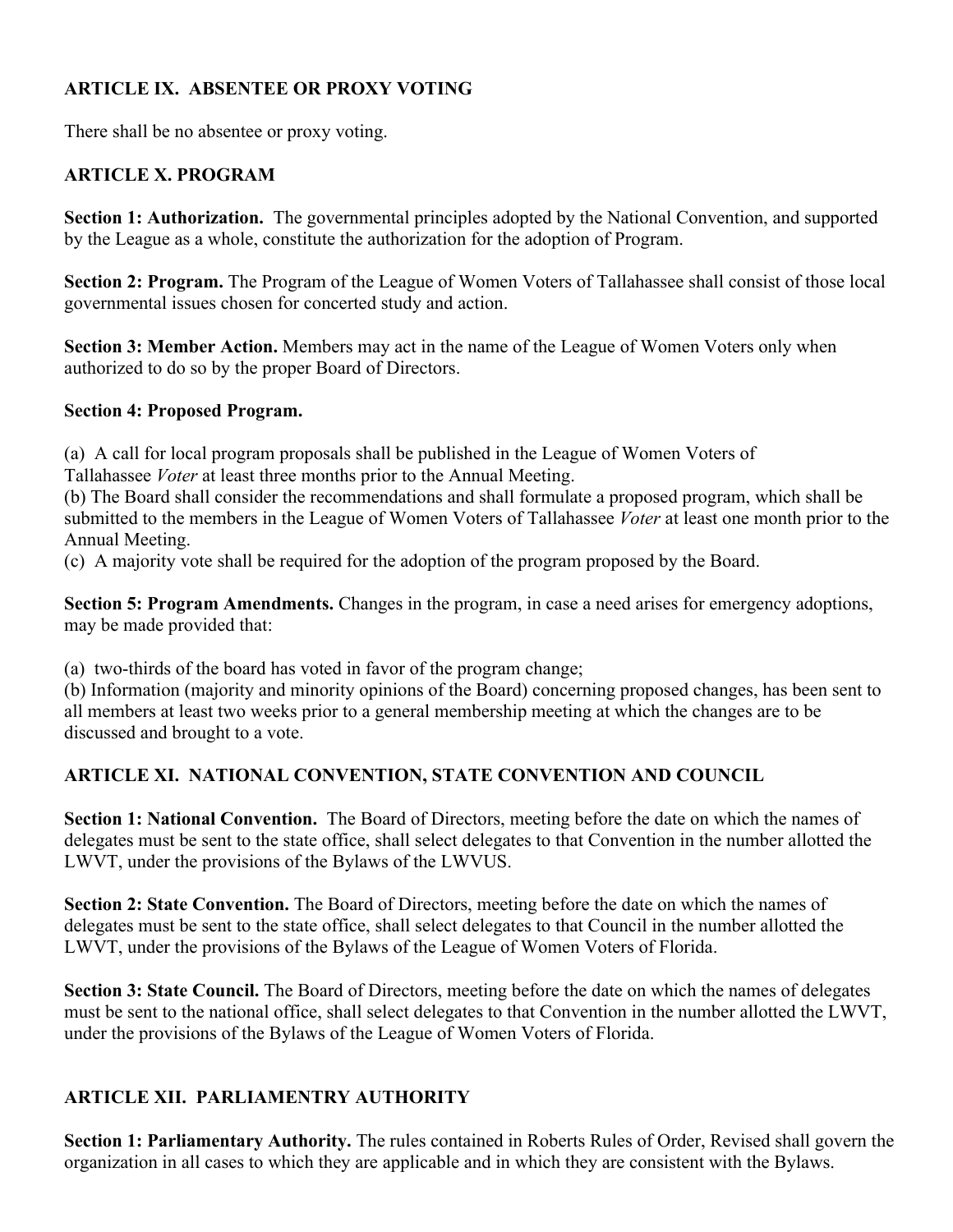### **ARTICLE IX. ABSENTEE OR PROXY VOTING**

There shall be no absentee or proxy voting.

### **ARTICLE X. PROGRAM**

**Section 1: Authorization.** The governmental principles adopted by the National Convention, and supported by the League as a whole, constitute the authorization for the adoption of Program.

**Section 2: Program.** The Program of the League of Women Voters of Tallahassee shall consist of those local governmental issues chosen for concerted study and action.

**Section 3: Member Action.** Members may act in the name of the League of Women Voters only when authorized to do so by the proper Board of Directors.

#### **Section 4: Proposed Program.**

(a) A call for local program proposals shall be published in the League of Women Voters of

Tallahassee *Voter* at least three months prior to the Annual Meeting.

(b) The Board shall consider the recommendations and shall formulate a proposed program, which shall be submitted to the members in the League of Women Voters of Tallahassee *Voter* at least one month prior to the Annual Meeting.

(c) A majority vote shall be required for the adoption of the program proposed by the Board.

**Section 5: Program Amendments.** Changes in the program, in case a need arises for emergency adoptions, may be made provided that:

(a) two-thirds of the board has voted in favor of the program change;

(b) Information (majority and minority opinions of the Board) concerning proposed changes, has been sent to all members at least two weeks prior to a general membership meeting at which the changes are to be discussed and brought to a vote.

#### **ARTICLE XI. NATIONAL CONVENTION, STATE CONVENTION AND COUNCIL**

**Section 1: National Convention.** The Board of Directors, meeting before the date on which the names of delegates must be sent to the state office, shall select delegates to that Convention in the number allotted the LWVT, under the provisions of the Bylaws of the LWVUS.

**Section 2: State Convention.** The Board of Directors, meeting before the date on which the names of delegates must be sent to the state office, shall select delegates to that Council in the number allotted the LWVT, under the provisions of the Bylaws of the League of Women Voters of Florida.

**Section 3: State Council.** The Board of Directors, meeting before the date on which the names of delegates must be sent to the national office, shall select delegates to that Convention in the number allotted the LWVT, under the provisions of the Bylaws of the League of Women Voters of Florida.

#### **ARTICLE XII. PARLIAMENTRY AUTHORITY**

**Section 1: Parliamentary Authority.** The rules contained in Roberts Rules of Order, Revised shall govern the organization in all cases to which they are applicable and in which they are consistent with the Bylaws.